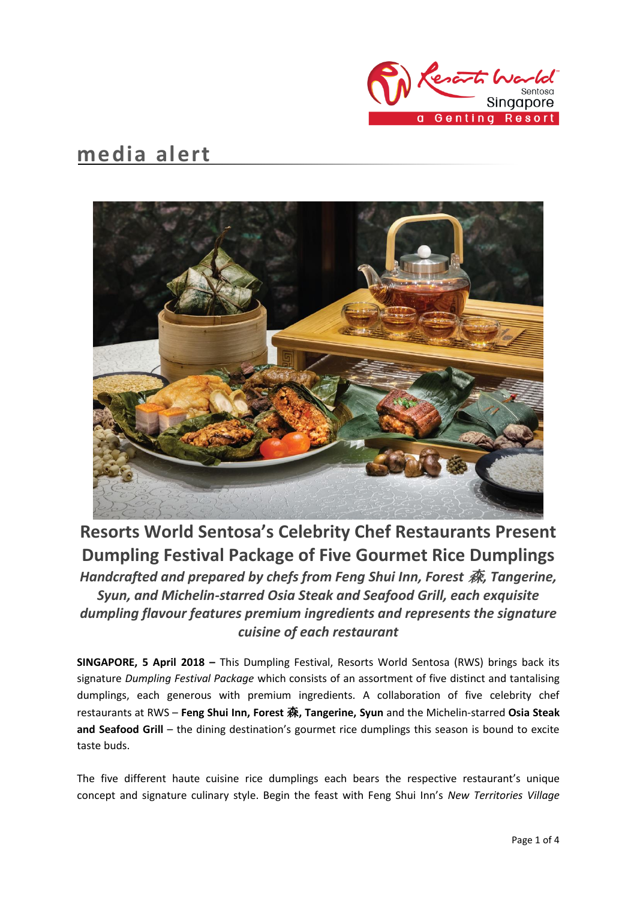

# **media alert**



# **Resorts World Sentosa's Celebrity Chef Restaurants Present Dumpling Festival Package of Five Gourmet Rice Dumplings**

*Handcrafted and prepared by chefs from Feng Shui Inn, Forest* 森*, Tangerine, Syun, and Michelin-starred Osia Steak and Seafood Grill, each exquisite dumpling flavour features premium ingredients and represents the signature cuisine of each restaurant*

**SINGAPORE, 5 April 2018 –** This Dumpling Festival, Resorts World Sentosa (RWS) brings back its signature *Dumpling Festival Package* which consists of an assortment of five distinct and tantalising dumplings, each generous with premium ingredients. A collaboration of five celebrity chef restaurants at RWS – **Feng Shui Inn, Forest** 森**, Tangerine, Syun** and the Michelin-starred **Osia Steak and Seafood Grill** – the dining destination's gourmet rice dumplings this season is bound to excite taste buds.

The five different haute cuisine rice dumplings each bears the respective restaurant's unique concept and signature culinary style. Begin the feast with Feng Shui Inn's *New Territories Village*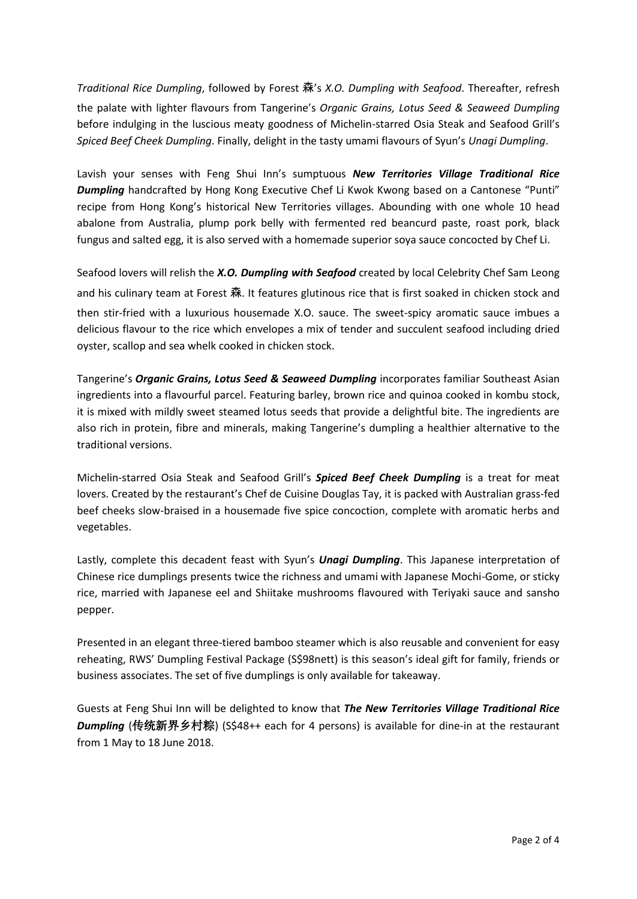*Traditional Rice Dumpling*, followed by Forest 森's *X.O. Dumpling with Seafood*. Thereafter, refresh the palate with lighter flavours from Tangerine's *Organic Grains, Lotus Seed & Seaweed Dumpling* before indulging in the luscious meaty goodness of Michelin-starred Osia Steak and Seafood Grill's *Spiced Beef Cheek Dumpling*. Finally, delight in the tasty umami flavours of Syun's *Unagi Dumpling*.

Lavish your senses with Feng Shui Inn's sumptuous *New Territories Village Traditional Rice Dumpling* handcrafted by Hong Kong Executive Chef Li Kwok Kwong based on a Cantonese "Punti" recipe from Hong Kong's historical New Territories villages. Abounding with one whole 10 head abalone from Australia, plump pork belly with fermented red beancurd paste, roast pork, black fungus and salted egg, it is also served with a homemade superior soya sauce concocted by Chef Li.

Seafood lovers will relish the *X.O. Dumpling with Seafood* created by local Celebrity Chef Sam Leong and his culinary team at Forest 森. It features glutinous rice that is first soaked in chicken stock and then stir-fried with a luxurious housemade X.O. sauce. The sweet-spicy aromatic sauce imbues a delicious flavour to the rice which envelopes a mix of tender and succulent seafood including dried oyster, scallop and sea whelk cooked in chicken stock.

Tangerine's *Organic Grains, Lotus Seed & Seaweed Dumpling* incorporates familiar Southeast Asian ingredients into a flavourful parcel. Featuring barley, brown rice and quinoa cooked in kombu stock, it is mixed with mildly sweet steamed lotus seeds that provide a delightful bite. The ingredients are also rich in protein, fibre and minerals, making Tangerine's dumpling a healthier alternative to the traditional versions.

Michelin-starred Osia Steak and Seafood Grill's *Spiced Beef Cheek Dumpling* is a treat for meat lovers. Created by the restaurant's Chef de Cuisine Douglas Tay, it is packed with Australian grass-fed beef cheeks slow-braised in a housemade five spice concoction, complete with aromatic herbs and vegetables.

Lastly, complete this decadent feast with Syun's *Unagi Dumpling*. This Japanese interpretation of Chinese rice dumplings presents twice the richness and umami with Japanese Mochi-Gome, or sticky rice, married with Japanese eel and Shiitake mushrooms flavoured with Teriyaki sauce and sansho pepper.

Presented in an elegant three-tiered bamboo steamer which is also reusable and convenient for easy reheating, RWS' Dumpling Festival Package (S\$98nett) is this season's ideal gift for family, friends or business associates. The set of five dumplings is only available for takeaway.

Guests at Feng Shui Inn will be delighted to know that *The New Territories Village Traditional Rice Dumpling* (传统新界乡村粽) (S\$48++ each for 4 persons) is available for dine-in at the restaurant from 1 May to 18 June 2018.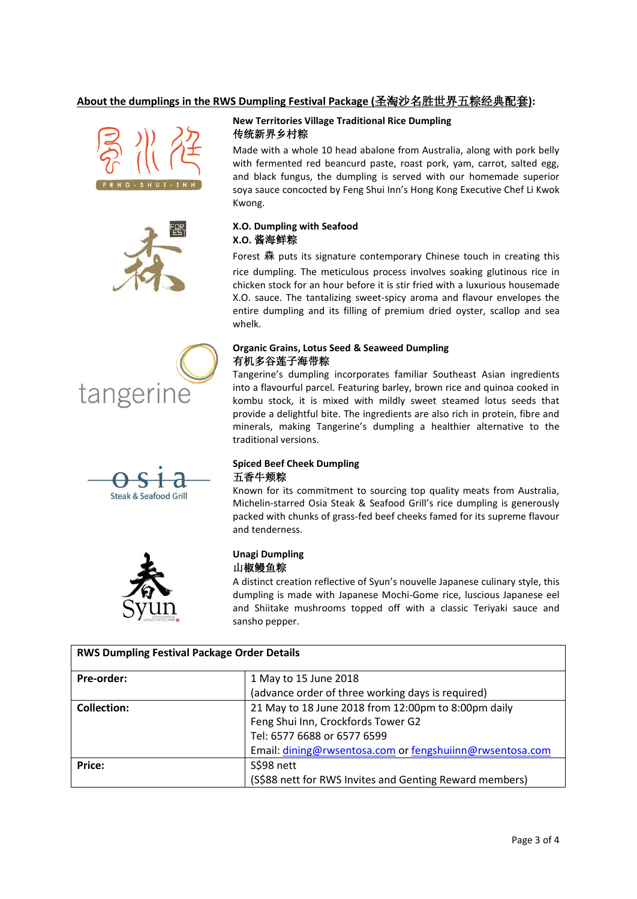## **About the dumplings in the RWS Dumpling Festival Package (**圣淘沙名胜世界五粽经典配套**):**











### **New Territories Village Traditional Rice Dumpling** 传统新界乡村粽

Made with a whole 10 head abalone from Australia, along with pork belly with fermented red beancurd paste, roast pork, yam, carrot, salted egg, and black fungus, the dumpling is served with our homemade superior soya sauce concocted by Feng Shui Inn's Hong Kong Executive Chef Li Kwok Kwong.

## **X.O. Dumpling with Seafood X.O.** 酱海鲜粽

Forest 森 puts its signature contemporary Chinese touch in creating this rice dumpling. The meticulous process involves soaking glutinous rice in chicken stock for an hour before it is stir fried with a luxurious housemade X.O. sauce. The tantalizing sweet-spicy aroma and flavour envelopes the entire dumpling and its filling of premium dried oyster, scallop and sea whelk.

### **Organic Grains, Lotus Seed & Seaweed Dumpling**  有机多谷莲子海带粽

Tangerine's dumpling incorporates familiar Southeast Asian ingredients into a flavourful parcel. Featuring barley, brown rice and quinoa cooked in kombu stock, it is mixed with mildly sweet steamed lotus seeds that provide a delightful bite. The ingredients are also rich in protein, fibre and minerals, making Tangerine's dumpling a healthier alternative to the traditional versions.

### **Spiced Beef Cheek Dumpling** 五香牛颊粽

Known for its commitment to sourcing top quality meats from Australia, Michelin-starred Osia Steak & Seafood Grill's rice dumpling is generously packed with chunks of grass-fed beef cheeks famed for its supreme flavour and tenderness.

## **Unagi Dumpling** 山椒鳗鱼粽

A distinct creation reflective of Syun's nouvelle Japanese culinary style, this dumpling is made with Japanese Mochi-Gome rice, luscious Japanese eel and Shiitake mushrooms topped off with a classic Teriyaki sauce and sansho pepper.

| <b>RWS Dumpling Festival Package Order Details</b> |                                                          |
|----------------------------------------------------|----------------------------------------------------------|
| Pre-order:                                         | 1 May to 15 June 2018                                    |
|                                                    | (advance order of three working days is required)        |
| <b>Collection:</b>                                 | 21 May to 18 June 2018 from 12:00pm to 8:00pm daily      |
|                                                    | Feng Shui Inn, Crockfords Tower G2                       |
|                                                    | Tel: 6577 6688 or 6577 6599                              |
|                                                    | Email: dining@rwsentosa.com or fengshuiinn@rwsentosa.com |
| Price:                                             | S\$98 nett                                               |
|                                                    | (S\$88 nett for RWS Invites and Genting Reward members)  |